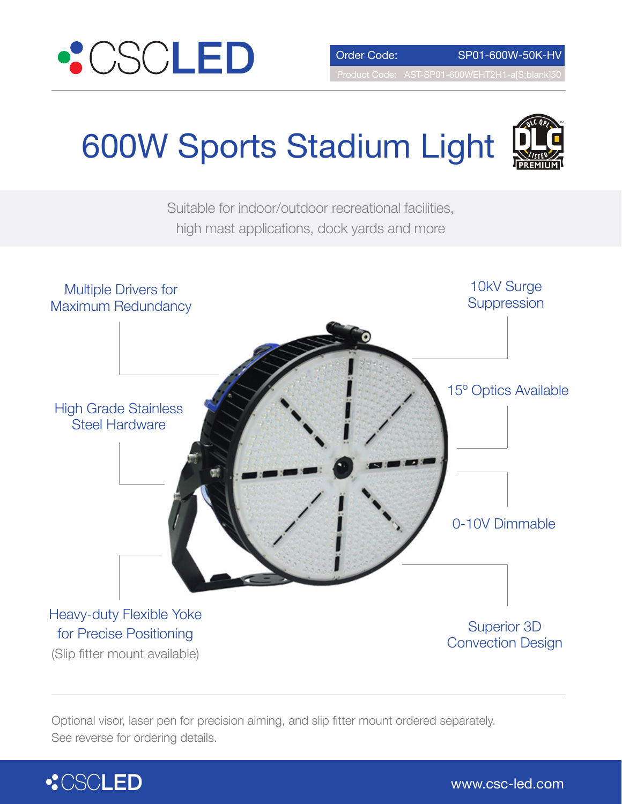

# 600W Sports Stadium Light





Optional visor, laser pen for precision aiming, and slip fitter mount ordered separately. See reverse for ordering details.